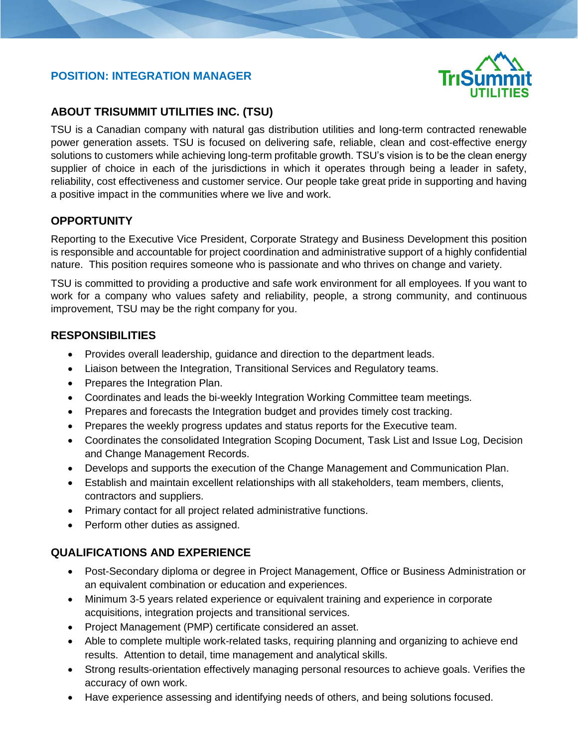# **POSITION: INTEGRATION MANAGER**



# **ABOUT TRISUMMIT UTILITIES INC. (TSU)**

TSU is a Canadian company with natural gas distribution utilities and long-term contracted renewable power generation assets. TSU is focused on delivering safe, reliable, clean and cost-effective energy solutions to customers while achieving long-term profitable growth. TSU's vision is to be the clean energy supplier of choice in each of the jurisdictions in which it operates through being a leader in safety, reliability, cost effectiveness and customer service. Our people take great pride in supporting and having a positive impact in the communities where we live and work.

## **OPPORTUNITY**

I

Reporting to the Executive Vice President, Corporate Strategy and Business Development this position is responsible and accountable for project coordination and administrative support of a highly confidential nature. This position requires someone who is passionate and who thrives on change and variety.

TSU is committed to providing a productive and safe work environment for all employees. If you want to work for a company who values safety and reliability, people, a strong community, and continuous improvement, TSU may be the right company for you.

## **RESPONSIBILITIES**

- Provides overall leadership, guidance and direction to the department leads.
- Liaison between the Integration, Transitional Services and Regulatory teams.
- Prepares the Integration Plan.
- Coordinates and leads the bi-weekly Integration Working Committee team meetings.
- Prepares and forecasts the Integration budget and provides timely cost tracking.
- Prepares the weekly progress updates and status reports for the Executive team.
- Coordinates the consolidated Integration Scoping Document, Task List and Issue Log, Decision and Change Management Records.
- Develops and supports the execution of the Change Management and Communication Plan.
- Establish and maintain excellent relationships with all stakeholders, team members, clients, contractors and suppliers.
- Primary contact for all project related administrative functions.
- Perform other duties as assigned.

# **QUALIFICATIONS AND EXPERIENCE**

- Post-Secondary diploma or degree in Project Management, Office or Business Administration or an equivalent combination or education and experiences.
- Minimum 3-5 years related experience or equivalent training and experience in corporate acquisitions, integration projects and transitional services.
- Project Management (PMP) certificate considered an asset.
- Able to complete multiple work-related tasks, requiring planning and organizing to achieve end results. Attention to detail, time management and analytical skills.
- Strong results-orientation effectively managing personal resources to achieve goals. Verifies the accuracy of own work.
- Have experience assessing and identifying needs of others, and being solutions focused.